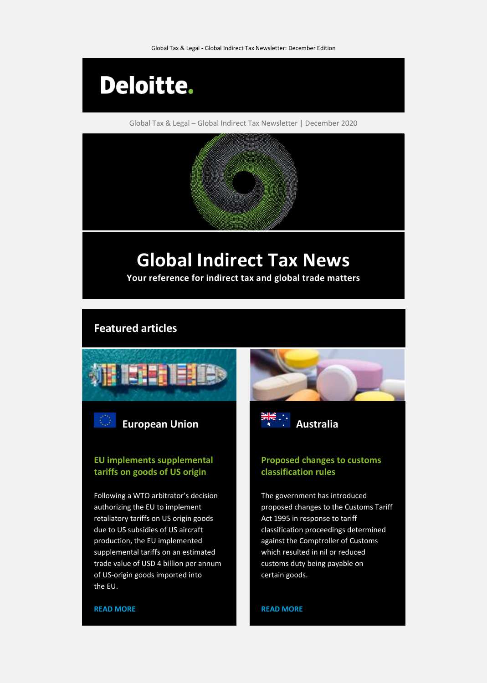

Global Tax & Legal – Global Indirect Tax Newsletter | December 2020

# **Global Indirect Tax News**

**Your reference for indirect tax and global trade matters**

# **Featured articles**





# **EU implements supplemental tariffs on goods of US origin**

Following a WTO arbitrator's decision authorizing the EU to implement retaliatory tariffs on US origin goods due to US subsidies of US aircraft production, the EU implemented supplemental tariffs on an estimated trade value of USD 4 billion per annum of US-origin goods imported into the EU.



**[READ MORE](https://www.taxathand.com/article/15813/Australia/2020/Customs-classification-rules-changing-following-court-wins-for-importers)**

# **Proposed changes to customs classification rules**

The government has introduced proposed changes to the Customs Tariff Act 1995 in response to tariff classification proceedings determined against the Comptroller of Customs which resulted in nil or reduced customs duty being payable on certain goods.

### **[READ MORE](https://www.taxathand.com/article/15765/European-Union/2020/EU-implements-supplemental-tariffs-on-goods-of-US-origin)**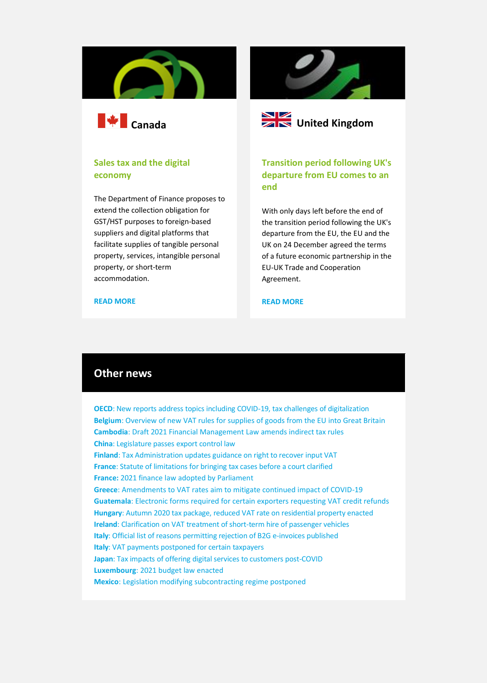



## **Sales tax and the digital economy**

The Department of Finance proposes to extend the collection obligation for GST/HST purposes to foreign-based suppliers and digital platforms that facilitate supplies of tangible personal property, services, intangible personal property, or short-term accommodation.





**Transition period following UK's departure from EU comes to an end**

With only days left before the end of the transition period following the UK's departure from the EU, the EU and the UK on 24 December agreed the terms of a future economic partnership in the EU-UK Trade and Cooperation Agreement.

#### **[READ MORE](https://www.taxathand.com/article/15837/Canada/2020/Sales-tax-and-the-digital-economy-Summary-of-recent-changes)**

#### **[READ MORE](https://www.taxathand.com/article/15921/European-Union/2021/End-of-the-transition-period)**

# **Other news**

**OECD**[: New reports address topics including COVID-19, tax challenges of digitalization](https://www.taxathand.com/article/15735/OECD/2020/New-reports-address-topics-including-COVID-19-tax-challenges-of-digitalization) **Belgium**[: Overview of new VAT rules for supplies of goods from the EU into Great Britain](https://www.taxathand.com/article/15870/Belgium/2020/Overview-of-new-VAT-rules-for-supplies-of-goods-from-the-EU-into-Great-Britain) **Cambodia**[: Draft 2021 Financial Management Law amends indirect tax rules](https://www.taxathand.com/article/15898/Cambodia/2020/Draft-2021-Financial-Management-Law-amends-indirect-tax-rules) **China**[: Legislature passes export control law](https://www.taxathand.com/article/15849/China/2020/Legislature-passes-export-control-law) **Finland**[: Tax Administration updates guidance on right to recover input VAT](https://www.taxathand.com/article/15877/Finland/2020/Tax-Administration-updates-guidance-on-right-to-recover-input-VAT-)  **France**[: Statute of limitations for bringing tax cases before a court clarified](https://www.taxathand.com/article/15764/France/2020/Statute-of-limitations-for-bringing-tax-cases-before-a-court-clarified) **France:** [2021 finance law adopted by Parliament](https://www.taxathand.com/article/15896/France/2020/2021-finance-law-adopted-by-Parliament) **Greece**[: Amendments to VAT rates aim to mitigate continued impact of COVID-19](https://www.taxathand.com/article/15935/Greece/2021/Amendments-to-VAT-rates-aim-to-mitigate-continued-impact-of-COVID-19) **Guatemala**: [Electronic forms required for certain exporters requesting VAT credit refunds](https://www.taxathand.com/article/15861/Guatemala/2020/Electronic-forms-required-for-certain-exporters-requesting-VAT-credit-refunds) **Hungary**[: Autumn 2020 tax package, reduced VAT rate on residential property enacted](https://www.taxathand.com/article/15863/Hungary/2020/Autumn-2020-tax-package-reduced-VAT-rate-on-residential-property-enacted-)  **Ireland**[: Clarification on VAT treatment of short-term hire of passenger vehicles](https://www.taxathand.com/article/15857/Ireland/2020/Clarification-on-VAT-treatment-of-short-term-hire-of-passenger-vehicles) **Italy**[: Official list of reasons permitting rejection of B2G e-invoices published](https://www.taxathand.com/article/15789/Italy/2020/Official-list-of-reasons-permitting-rejection-of-B2G-e-invoices-published) **Italy**[: VAT payments postponed for certain taxpayers](https://www.taxathand.com/article/15819/Italy/2020/VAT-payments-postponed-for-certain-taxpayers) **Japan**: Tax impacts of offering [digital services to customers post-COVID](https://www.taxathand.com/article/15815/Japan/2020/Tax-impacts-of-offering-digital-services-to-customers-post-COVID) **Luxembourg**[: 2021 budget law enacted](https://www.taxathand.com/article/15897/Luxembourg/2020/2021-budget-law-enacted) **Mexico**[: Legislation modifying subcontracting regime postponed](https://www.taxathand.com/article/15859/Mexico/2020/Legislation-modifying-subcontracting-regime-postponed)